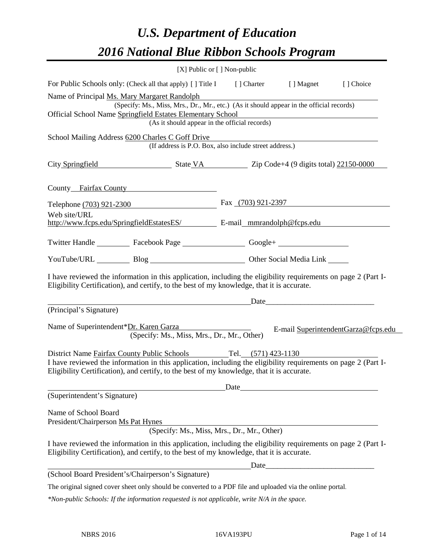# *U.S. Department of Education 2016 National Blue Ribbon Schools Program*

|                                                                                                                                                                                                              | [X] Public or [] Non-public |                                                                                                                                                                                                                               |                                     |
|--------------------------------------------------------------------------------------------------------------------------------------------------------------------------------------------------------------|-----------------------------|-------------------------------------------------------------------------------------------------------------------------------------------------------------------------------------------------------------------------------|-------------------------------------|
| For Public Schools only: (Check all that apply) [] Title I [] Charter [] Magnet                                                                                                                              |                             |                                                                                                                                                                                                                               | [] Choice                           |
| Name of Principal Ms. Mary Margaret Randolph                                                                                                                                                                 |                             |                                                                                                                                                                                                                               |                                     |
| (Specify: Ms., Miss, Mrs., Dr., Mr., etc.) (As it should appear in the official records)                                                                                                                     |                             |                                                                                                                                                                                                                               |                                     |
| Official School Name Springfield Estates Elementary School                                                                                                                                                   |                             |                                                                                                                                                                                                                               |                                     |
| (As it should appear in the official records)                                                                                                                                                                |                             |                                                                                                                                                                                                                               |                                     |
| School Mailing Address 6200 Charles C Goff Drive<br>(If address is P.O. Box, also include street address.)                                                                                                   |                             |                                                                                                                                                                                                                               |                                     |
| City Springfield State VA Zip Code+4 (9 digits total) 22150-0000                                                                                                                                             |                             |                                                                                                                                                                                                                               |                                     |
| County Fairfax County                                                                                                                                                                                        |                             |                                                                                                                                                                                                                               |                                     |
| Telephone (703) 921-2300 Fax (703) 921-2397                                                                                                                                                                  |                             |                                                                                                                                                                                                                               |                                     |
| Web site/URL                                                                                                                                                                                                 |                             |                                                                                                                                                                                                                               |                                     |
| http://www.fcps.edu/SpringfieldEstatesES/ E-mail_mmrandolph@fcps.edu                                                                                                                                         |                             |                                                                                                                                                                                                                               |                                     |
| Twitter Handle ____________ Facebook Page ____________________ Google+ _____________________________                                                                                                         |                             |                                                                                                                                                                                                                               |                                     |
| YouTube/URL Blog Blog Cher Social Media Link                                                                                                                                                                 |                             |                                                                                                                                                                                                                               |                                     |
| I have reviewed the information in this application, including the eligibility requirements on page 2 (Part I-<br>Eligibility Certification), and certify, to the best of my knowledge, that it is accurate. |                             | Date and the same state of the state of the state of the state of the state of the state of the state of the state of the state of the state of the state of the state of the state of the state of the state of the state of |                                     |
| (Principal's Signature)                                                                                                                                                                                      |                             |                                                                                                                                                                                                                               |                                     |
| Name of Superintendent*Dr. Karen Garza<br>(Specify: Ms., Miss, Mrs., Dr., Mr., Other)                                                                                                                        |                             |                                                                                                                                                                                                                               | E-mail SuperintendentGarza@fcps.edu |
| District Name Fairfax County Public Schools Tel. (571) 423-1130                                                                                                                                              |                             |                                                                                                                                                                                                                               |                                     |
| I have reviewed the information in this application, including the eligibility requirements on page 2 (Part I-<br>Eligibility Certification), and certify, to the best of my knowledge, that it is accurate. |                             |                                                                                                                                                                                                                               |                                     |
|                                                                                                                                                                                                              |                             |                                                                                                                                                                                                                               |                                     |
| (Superintendent's Signature)                                                                                                                                                                                 |                             |                                                                                                                                                                                                                               |                                     |
| Name of School Board<br>President/Chairperson Ms Pat Hynes<br>(Specify: Ms., Miss, Mrs., Dr., Mr., Other)                                                                                                    |                             |                                                                                                                                                                                                                               |                                     |
| I have reviewed the information in this application, including the eligibility requirements on page 2 (Part I-<br>Eligibility Certification), and certify, to the best of my knowledge, that it is accurate. |                             |                                                                                                                                                                                                                               |                                     |
|                                                                                                                                                                                                              |                             |                                                                                                                                                                                                                               |                                     |
| (School Board President's/Chairperson's Signature)                                                                                                                                                           |                             |                                                                                                                                                                                                                               |                                     |
| The original signed cover sheet only should be converted to a PDF file and uploaded via the online portal.                                                                                                   |                             |                                                                                                                                                                                                                               |                                     |

*\*Non-public Schools: If the information requested is not applicable, write N/A in the space.*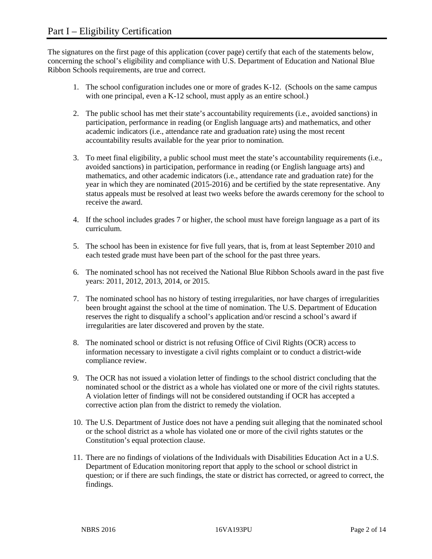The signatures on the first page of this application (cover page) certify that each of the statements below, concerning the school's eligibility and compliance with U.S. Department of Education and National Blue Ribbon Schools requirements, are true and correct.

- 1. The school configuration includes one or more of grades K-12. (Schools on the same campus with one principal, even a K-12 school, must apply as an entire school.)
- 2. The public school has met their state's accountability requirements (i.e., avoided sanctions) in participation, performance in reading (or English language arts) and mathematics, and other academic indicators (i.e., attendance rate and graduation rate) using the most recent accountability results available for the year prior to nomination.
- 3. To meet final eligibility, a public school must meet the state's accountability requirements (i.e., avoided sanctions) in participation, performance in reading (or English language arts) and mathematics, and other academic indicators (i.e., attendance rate and graduation rate) for the year in which they are nominated (2015-2016) and be certified by the state representative. Any status appeals must be resolved at least two weeks before the awards ceremony for the school to receive the award.
- 4. If the school includes grades 7 or higher, the school must have foreign language as a part of its curriculum.
- 5. The school has been in existence for five full years, that is, from at least September 2010 and each tested grade must have been part of the school for the past three years.
- 6. The nominated school has not received the National Blue Ribbon Schools award in the past five years: 2011, 2012, 2013, 2014, or 2015.
- 7. The nominated school has no history of testing irregularities, nor have charges of irregularities been brought against the school at the time of nomination. The U.S. Department of Education reserves the right to disqualify a school's application and/or rescind a school's award if irregularities are later discovered and proven by the state.
- 8. The nominated school or district is not refusing Office of Civil Rights (OCR) access to information necessary to investigate a civil rights complaint or to conduct a district-wide compliance review.
- 9. The OCR has not issued a violation letter of findings to the school district concluding that the nominated school or the district as a whole has violated one or more of the civil rights statutes. A violation letter of findings will not be considered outstanding if OCR has accepted a corrective action plan from the district to remedy the violation.
- 10. The U.S. Department of Justice does not have a pending suit alleging that the nominated school or the school district as a whole has violated one or more of the civil rights statutes or the Constitution's equal protection clause.
- 11. There are no findings of violations of the Individuals with Disabilities Education Act in a U.S. Department of Education monitoring report that apply to the school or school district in question; or if there are such findings, the state or district has corrected, or agreed to correct, the findings.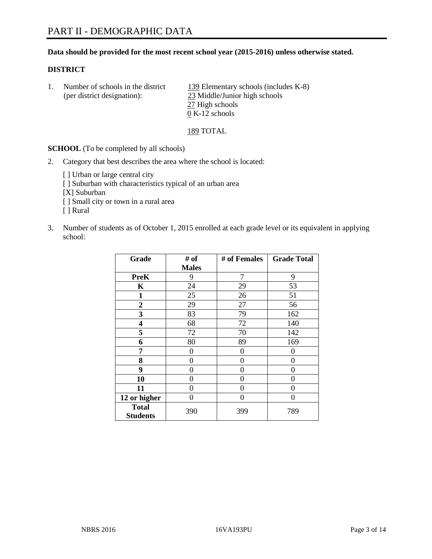#### **Data should be provided for the most recent school year (2015-2016) unless otherwise stated.**

#### **DISTRICT**

1. Number of schools in the district  $139$  Elementary schools (includes K-8) (per district designation): 23 Middle/Junior high schools 27 High schools  $\overline{0}$  K-12 schools

#### 189 TOTAL

**SCHOOL** (To be completed by all schools)

- 2. Category that best describes the area where the school is located:
	- [] Urban or large central city [ ] Suburban with characteristics typical of an urban area [X] Suburban [ ] Small city or town in a rural area [ ] Rural
- 3. Number of students as of October 1, 2015 enrolled at each grade level or its equivalent in applying school:

| Grade                           | # of         | # of Females   | <b>Grade Total</b> |
|---------------------------------|--------------|----------------|--------------------|
|                                 | <b>Males</b> |                |                    |
| <b>PreK</b>                     | 9            | $\overline{7}$ | 9                  |
| K                               | 24           | 29             | 53                 |
| $\mathbf{1}$                    | 25           | 26             | 51                 |
| $\overline{2}$                  | 29           | 27             | 56                 |
| 3                               | 83           | 79             | 162                |
| 4                               | 68           | 72             | 140                |
| 5                               | 72           | 70             | 142                |
| 6                               | 80           | 89             | 169                |
| 7                               | 0            | $\theta$       | 0                  |
| 8                               | 0            | $\theta$       | 0                  |
| 9                               | 0            | $\theta$       | 0                  |
| 10                              | 0            | 0              | 0                  |
| 11                              | $\theta$     | 0              | 0                  |
| 12 or higher                    | $\theta$     | 0              | 0                  |
| <b>Total</b><br><b>Students</b> | 390          | 399            | 789                |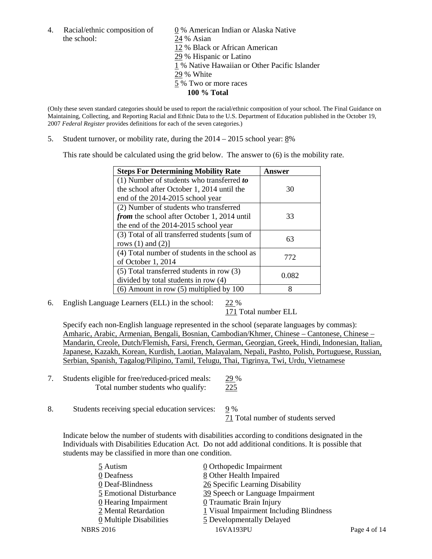the school: 24 % Asian

4. Racial/ethnic composition of 0 % American Indian or Alaska Native 12 % Black or African American 29 % Hispanic or Latino 1 % Native Hawaiian or Other Pacific Islander 29 % White 5 % Two or more races **100 % Total**

(Only these seven standard categories should be used to report the racial/ethnic composition of your school. The Final Guidance on Maintaining, Collecting, and Reporting Racial and Ethnic Data to the U.S. Department of Education published in the October 19, 2007 *Federal Register* provides definitions for each of the seven categories.)

5. Student turnover, or mobility rate, during the  $2014 - 2015$  school year:  $8\%$ 

This rate should be calculated using the grid below. The answer to (6) is the mobility rate.

| <b>Steps For Determining Mobility Rate</b>         | Answer |  |
|----------------------------------------------------|--------|--|
| (1) Number of students who transferred to          |        |  |
| the school after October 1, 2014 until the         | 30     |  |
| end of the 2014-2015 school year                   |        |  |
| (2) Number of students who transferred             |        |  |
| <i>from</i> the school after October 1, 2014 until | 33     |  |
| the end of the 2014-2015 school year               |        |  |
| (3) Total of all transferred students [sum of      | 63     |  |
| rows $(1)$ and $(2)$ ]                             |        |  |
| (4) Total number of students in the school as      | 772    |  |
| of October 1, 2014                                 |        |  |
| $(5)$ Total transferred students in row $(3)$      | 0.082  |  |
| divided by total students in row (4)               |        |  |
| $(6)$ Amount in row $(5)$ multiplied by 100        | 8      |  |

6. English Language Learners (ELL) in the school:  $22\%$ 

171 Total number ELL

Specify each non-English language represented in the school (separate languages by commas): Amharic, Arabic, Armenian, Bengali, Bosnian, Cambodian/Khmer, Chinese – Cantonese, Chinese – Mandarin, Creole, Dutch/Flemish, Farsi, French, German, Georgian, Greek, Hindi, Indonesian, Italian, Japanese, Kazakh, Korean, Kurdish, Laotian, Malayalam, Nepali, Pashto, Polish, Portuguese, Russian, Serbian, Spanish, Tagalog/Pilipino, Tamil, Telugu, Thai, Tigrinya, Twi, Urdu, Vietnamese

- 7. Students eligible for free/reduced-priced meals: 29 % Total number students who qualify: 225
- 8. Students receiving special education services: 9 %

71 Total number of students served

Indicate below the number of students with disabilities according to conditions designated in the Individuals with Disabilities Education Act. Do not add additional conditions. It is possible that students may be classified in more than one condition.

| 5 Autism                           | $\underline{0}$ Orthopedic Impairment   |              |
|------------------------------------|-----------------------------------------|--------------|
| 0 Deafness                         | 8 Other Health Impaired                 |              |
| 0 Deaf-Blindness                   | 26 Specific Learning Disability         |              |
| 5 Emotional Disturbance            | 39 Speech or Language Impairment        |              |
| $\underline{0}$ Hearing Impairment | <b>0</b> Traumatic Brain Injury         |              |
| 2 Mental Retardation               | 1 Visual Impairment Including Blindness |              |
| 0 Multiple Disabilities            | 5 Developmentally Delayed               |              |
| NBRS 2016                          | 16VA193PU                               | Page 4 of 14 |
|                                    |                                         |              |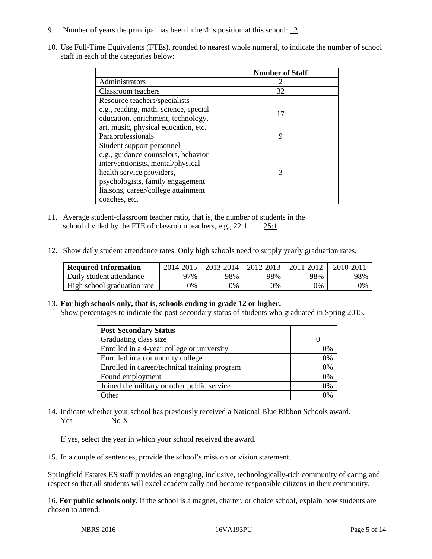- 9. Number of years the principal has been in her/his position at this school: 12
- 10. Use Full-Time Equivalents (FTEs), rounded to nearest whole numeral, to indicate the number of school staff in each of the categories below:

|                                       | <b>Number of Staff</b> |
|---------------------------------------|------------------------|
| Administrators                        |                        |
| Classroom teachers                    | 32                     |
| Resource teachers/specialists         |                        |
| e.g., reading, math, science, special | 17                     |
| education, enrichment, technology,    |                        |
| art, music, physical education, etc.  |                        |
| Paraprofessionals                     | 9                      |
| Student support personnel             |                        |
| e.g., guidance counselors, behavior   |                        |
| interventionists, mental/physical     |                        |
| health service providers,             | 3                      |
| psychologists, family engagement      |                        |
| liaisons, career/college attainment   |                        |
| coaches, etc.                         |                        |

- 11. Average student-classroom teacher ratio, that is, the number of students in the school divided by the FTE of classroom teachers, e.g., 22:1 25:1
- 12. Show daily student attendance rates. Only high schools need to supply yearly graduation rates.

| <b>Required Information</b> | 2014-2015 | 2013-2014 l | 2012-2013 | 2011-2012 | $2010 - 201$ |
|-----------------------------|-----------|-------------|-----------|-----------|--------------|
| Daily student attendance    | 97%       | 98%         | 98%       | 98%       | 98%          |
| High school graduation rate | 9%        | 0%          | 0%        | 9%        | 0%           |

#### 13. **For high schools only, that is, schools ending in grade 12 or higher.**

Show percentages to indicate the post-secondary status of students who graduated in Spring 2015.

| <b>Post-Secondary Status</b>                  |    |
|-----------------------------------------------|----|
| Graduating class size                         |    |
| Enrolled in a 4-year college or university    | 0% |
| Enrolled in a community college               | 0% |
| Enrolled in career/technical training program | 0% |
| Found employment                              | 0% |
| Joined the military or other public service   | 0% |
| Other                                         | 0/ |

14. Indicate whether your school has previously received a National Blue Ribbon Schools award. Yes No X

If yes, select the year in which your school received the award.

15. In a couple of sentences, provide the school's mission or vision statement.

Springfield Estates ES staff provides an engaging, inclusive, technologically-rich community of caring and respect so that all students will excel academically and become responsible citizens in their community.

16. **For public schools only**, if the school is a magnet, charter, or choice school, explain how students are chosen to attend.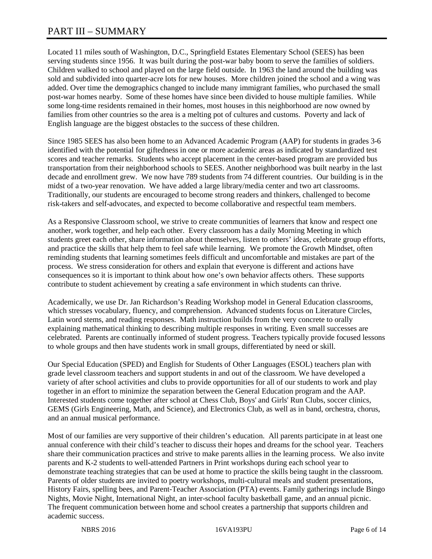# PART III – SUMMARY

Located 11 miles south of Washington, D.C., Springfield Estates Elementary School (SEES) has been serving students since 1956. It was built during the post-war baby boom to serve the families of soldiers. Children walked to school and played on the large field outside. In 1963 the land around the building was sold and subdivided into quarter-acre lots for new houses. More children joined the school and a wing was added. Over time the demographics changed to include many immigrant families, who purchased the small post-war homes nearby. Some of these homes have since been divided to house multiple families. While some long-time residents remained in their homes, most houses in this neighborhood are now owned by families from other countries so the area is a melting pot of cultures and customs. Poverty and lack of English language are the biggest obstacles to the success of these children.

Since 1985 SEES has also been home to an Advanced Academic Program (AAP) for students in grades 3-6 identified with the potential for giftedness in one or more academic areas as indicated by standardized test scores and teacher remarks. Students who accept placement in the center-based program are provided bus transportation from their neighborhood schools to SEES. Another neighborhood was built nearby in the last decade and enrollment grew. We now have 789 students from 74 different countries. Our building is in the midst of a two-year renovation. We have added a large library/media center and two art classrooms. Traditionally, our students are encouraged to become strong readers and thinkers, challenged to become risk-takers and self-advocates, and expected to become collaborative and respectful team members.

As a Responsive Classroom school, we strive to create communities of learners that know and respect one another, work together, and help each other. Every classroom has a daily Morning Meeting in which students greet each other, share information about themselves, listen to others' ideas, celebrate group efforts, and practice the skills that help them to feel safe while learning. We promote the Growth Mindset, often reminding students that learning sometimes feels difficult and uncomfortable and mistakes are part of the process. We stress consideration for others and explain that everyone is different and actions have consequences so it is important to think about how one's own behavior affects others. These supports contribute to student achievement by creating a safe environment in which students can thrive.

Academically, we use Dr. Jan Richardson's Reading Workshop model in General Education classrooms, which stresses vocabulary, fluency, and comprehension. Advanced students focus on Literature Circles, Latin word stems, and reading responses. Math instruction builds from the very concrete to orally explaining mathematical thinking to describing multiple responses in writing. Even small successes are celebrated. Parents are continually informed of student progress. Teachers typically provide focused lessons to whole groups and then have students work in small groups, differentiated by need or skill.

Our Special Education (SPED) and English for Students of Other Languages (ESOL) teachers plan with grade level classroom teachers and support students in and out of the classroom. We have developed a variety of after school activities and clubs to provide opportunities for all of our students to work and play together in an effort to minimize the separation between the General Education program and the AAP. Interested students come together after school at Chess Club, Boys' and Girls' Run Clubs, soccer clinics, GEMS (Girls Engineering, Math, and Science), and Electronics Club, as well as in band, orchestra, chorus, and an annual musical performance.

Most of our families are very supportive of their children's education. All parents participate in at least one annual conference with their child's teacher to discuss their hopes and dreams for the school year. Teachers share their communication practices and strive to make parents allies in the learning process. We also invite parents and K-2 students to well-attended Partners in Print workshops during each school year to demonstrate teaching strategies that can be used at home to practice the skills being taught in the classroom. Parents of older students are invited to poetry workshops, multi-cultural meals and student presentations, History Fairs, spelling bees, and Parent-Teacher Association (PTA) events. Family gatherings include Bingo Nights, Movie Night, International Night, an inter-school faculty basketball game, and an annual picnic. The frequent communication between home and school creates a partnership that supports children and academic success.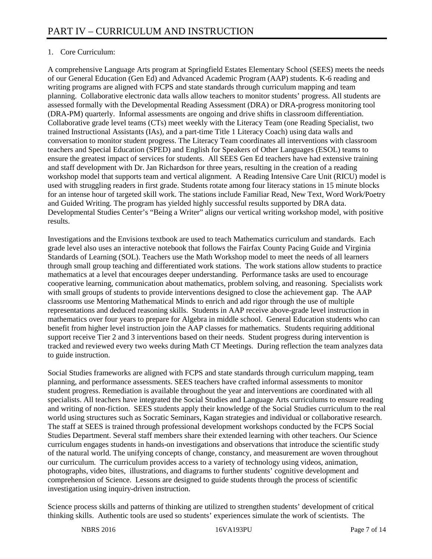## 1. Core Curriculum:

A comprehensive Language Arts program at Springfield Estates Elementary School (SEES) meets the needs of our General Education (Gen Ed) and Advanced Academic Program (AAP) students. K-6 reading and writing programs are aligned with FCPS and state standards through curriculum mapping and team planning. Collaborative electronic data walls allow teachers to monitor students' progress. All students are assessed formally with the Developmental Reading Assessment (DRA) or DRA-progress monitoring tool (DRA-PM) quarterly. Informal assessments are ongoing and drive shifts in classroom differentiation. Collaborative grade level teams (CTs) meet weekly with the Literacy Team (one Reading Specialist, two trained Instructional Assistants (IAs), and a part-time Title 1 Literacy Coach) using data walls and conversation to monitor student progress. The Literacy Team coordinates all interventions with classroom teachers and Special Education (SPED) and English for Speakers of Other Languages (ESOL) teams to ensure the greatest impact of services for students. All SEES Gen Ed teachers have had extensive training and staff development with Dr. Jan Richardson for three years, resulting in the creation of a reading workshop model that supports team and vertical alignment. A Reading Intensive Care Unit (RICU) model is used with struggling readers in first grade. Students rotate among four literacy stations in 15 minute blocks for an intense hour of targeted skill work. The stations include Familiar Read, New Text, Word Work/Poetry and Guided Writing. The program has yielded highly successful results supported by DRA data. Developmental Studies Center's "Being a Writer" aligns our vertical writing workshop model, with positive results.

Investigations and the Envisions textbook are used to teach Mathematics curriculum and standards. Each grade level also uses an interactive notebook that follows the Fairfax County Pacing Guide and Virginia Standards of Learning (SOL). Teachers use the Math Workshop model to meet the needs of all learners through small group teaching and differentiated work stations. The work stations allow students to practice mathematics at a level that encourages deeper understanding. Performance tasks are used to encourage cooperative learning, communication about mathematics, problem solving, and reasoning. Specialists work with small groups of students to provide interventions designed to close the achievement gap. The AAP classrooms use Mentoring Mathematical Minds to enrich and add rigor through the use of multiple representations and deduced reasoning skills. Students in AAP receive above-grade level instruction in mathematics over four years to prepare for Algebra in middle school. General Education students who can benefit from higher level instruction join the AAP classes for mathematics. Students requiring additional support receive Tier 2 and 3 interventions based on their needs. Student progress during intervention is tracked and reviewed every two weeks during Math CT Meetings. During reflection the team analyzes data to guide instruction.

Social Studies frameworks are aligned with FCPS and state standards through curriculum mapping, team planning, and performance assessments. SEES teachers have crafted informal assessments to monitor student progress. Remediation is available throughout the year and interventions are coordinated with all specialists. All teachers have integrated the Social Studies and Language Arts curriculums to ensure reading and writing of non-fiction. SEES students apply their knowledge of the Social Studies curriculum to the real world using structures such as Socratic Seminars, Kagan strategies and individual or collaborative research. The staff at SEES is trained through professional development workshops conducted by the FCPS Social Studies Department. Several staff members share their extended learning with other teachers. Our Science curriculum engages students in hands-on investigations and observations that introduce the scientific study of the natural world. The unifying concepts of change, constancy, and measurement are woven throughout our curriculum. The curriculum provides access to a variety of technology using videos, animation, photographs, video bites, illustrations, and diagrams to further students' cognitive development and comprehension of Science. Lessons are designed to guide students through the process of scientific investigation using inquiry-driven instruction.

Science process skills and patterns of thinking are utilized to strengthen students' development of critical thinking skills. Authentic tools are used so students' experiences simulate the work of scientists. The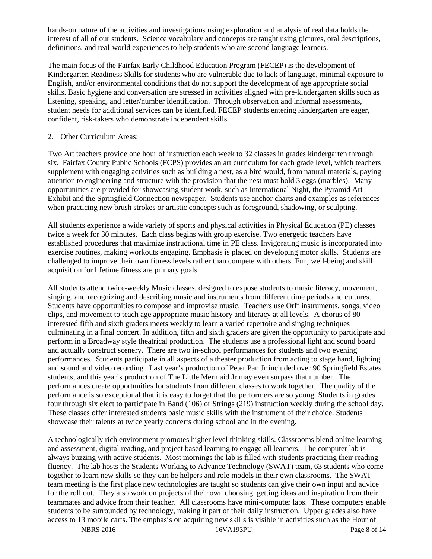hands-on nature of the activities and investigations using exploration and analysis of real data holds the interest of all of our students. Science vocabulary and concepts are taught using pictures, oral descriptions, definitions, and real-world experiences to help students who are second language learners.

The main focus of the Fairfax Early Childhood Education Program (FECEP) is the development of Kindergarten Readiness Skills for students who are vulnerable due to lack of language, minimal exposure to English, and/or environmental conditions that do not support the development of age appropriate social skills. Basic hygiene and conversation are stressed in activities aligned with pre-kindergarten skills such as listening, speaking, and letter/number identification. Through observation and informal assessments, student needs for additional services can be identified. FECEP students entering kindergarten are eager, confident, risk-takers who demonstrate independent skills.

#### 2. Other Curriculum Areas:

Two Art teachers provide one hour of instruction each week to 32 classes in grades kindergarten through six. Fairfax County Public Schools (FCPS) provides an art curriculum for each grade level, which teachers supplement with engaging activities such as building a nest, as a bird would, from natural materials, paying attention to engineering and structure with the provision that the nest must hold 3 eggs (marbles). Many opportunities are provided for showcasing student work, such as International Night, the Pyramid Art Exhibit and the Springfield Connection newspaper. Students use anchor charts and examples as references when practicing new brush strokes or artistic concepts such as foreground, shadowing, or sculpting.

All students experience a wide variety of sports and physical activities in Physical Education (PE) classes twice a week for 30 minutes. Each class begins with group exercise. Two energetic teachers have established procedures that maximize instructional time in PE class. Invigorating music is incorporated into exercise routines, making workouts engaging. Emphasis is placed on developing motor skills. Students are challenged to improve their own fitness levels rather than compete with others. Fun, well-being and skill acquisition for lifetime fitness are primary goals.

All students attend twice-weekly Music classes, designed to expose students to music literacy, movement, singing, and recognizing and describing music and instruments from different time periods and cultures. Students have opportunities to compose and improvise music. Teachers use Orff instruments, songs, video clips, and movement to teach age appropriate music history and literacy at all levels. A chorus of 80 interested fifth and sixth graders meets weekly to learn a varied repertoire and singing techniques culminating in a final concert. In addition, fifth and sixth graders are given the opportunity to participate and perform in a Broadway style theatrical production. The students use a professional light and sound board and actually construct scenery. There are two in-school performances for students and two evening performances. Students participate in all aspects of a theater production from acting to stage hand, lighting and sound and video recording. Last year's production of Peter Pan Jr included over 90 Springfield Estates students, and this year's production of The Little Mermaid Jr may even surpass that number. The performances create opportunities for students from different classes to work together. The quality of the performance is so exceptional that it is easy to forget that the performers are so young. Students in grades four through six elect to participate in Band (106) or Strings (219) instruction weekly during the school day. These classes offer interested students basic music skills with the instrument of their choice. Students showcase their talents at twice yearly concerts during school and in the evening.

A technologically rich environment promotes higher level thinking skills. Classrooms blend online learning and assessment, digital reading, and project based learning to engage all learners. The computer lab is always buzzing with active students. Most mornings the lab is filled with students practicing their reading fluency. The lab hosts the Students Working to Advance Technology (SWAT) team, 63 students who come together to learn new skills so they can be helpers and role models in their own classrooms. The SWAT team meeting is the first place new technologies are taught so students can give their own input and advice for the roll out. They also work on projects of their own choosing, getting ideas and inspiration from their teammates and advice from their teacher. All classrooms have mini-computer labs. These computers enable students to be surrounded by technology, making it part of their daily instruction. Upper grades also have access to 13 mobile carts. The emphasis on acquiring new skills is visible in activities such as the Hour of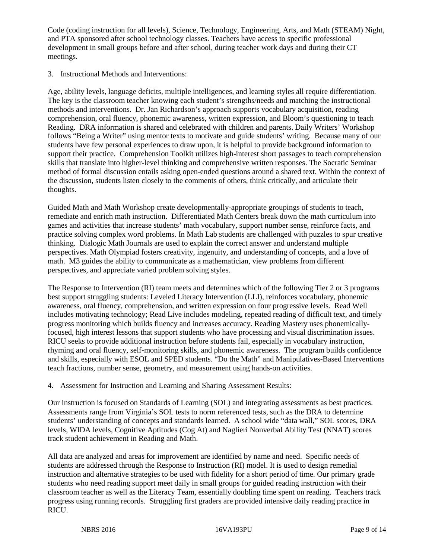Code (coding instruction for all levels), Science, Technology, Engineering, Arts, and Math (STEAM) Night, and PTA sponsored after school technology classes. Teachers have access to specific professional development in small groups before and after school, during teacher work days and during their CT meetings.

### 3. Instructional Methods and Interventions:

Age, ability levels, language deficits, multiple intelligences, and learning styles all require differentiation. The key is the classroom teacher knowing each student's strengths/needs and matching the instructional methods and interventions. Dr. Jan Richardson's approach supports vocabulary acquisition, reading comprehension, oral fluency, phonemic awareness, written expression, and Bloom's questioning to teach Reading. DRA information is shared and celebrated with children and parents. Daily Writers' Workshop follows "Being a Writer" using mentor texts to motivate and guide students' writing. Because many of our students have few personal experiences to draw upon, it is helpful to provide background information to support their practice. Comprehension Toolkit utilizes high-interest short passages to teach comprehension skills that translate into higher-level thinking and comprehensive written responses. The Socratic Seminar method of formal discussion entails asking open-ended questions around a shared text. Within the context of the discussion, students listen closely to the comments of others, think critically, and articulate their thoughts.

Guided Math and Math Workshop create developmentally-appropriate groupings of students to teach, remediate and enrich math instruction. Differentiated Math Centers break down the math curriculum into games and activities that increase students' math vocabulary, support number sense, reinforce facts, and practice solving complex word problems. In Math Lab students are challenged with puzzles to spur creative thinking. Dialogic Math Journals are used to explain the correct answer and understand multiple perspectives. Math Olympiad fosters creativity, ingenuity, and understanding of concepts, and a love of math. M3 guides the ability to communicate as a mathematician, view problems from different perspectives, and appreciate varied problem solving styles.

The Response to Intervention (RI) team meets and determines which of the following Tier 2 or 3 programs best support struggling students: Leveled Literacy Intervention (LLI), reinforces vocabulary, phonemic awareness, oral fluency, comprehension, and written expression on four progressive levels. Read Well includes motivating technology; Read Live includes modeling, repeated reading of difficult text, and timely progress monitoring which builds fluency and increases accuracy. Reading Mastery uses phonemicallyfocused, high interest lessons that support students who have processing and visual discrimination issues. RICU seeks to provide additional instruction before students fail, especially in vocabulary instruction, rhyming and oral fluency, self-monitoring skills, and phonemic awareness. The program builds confidence and skills, especially with ESOL and SPED students. "Do the Math" and Manipulatives-Based Interventions teach fractions, number sense, geometry, and measurement using hands-on activities.

4. Assessment for Instruction and Learning and Sharing Assessment Results:

Our instruction is focused on Standards of Learning (SOL) and integrating assessments as best practices. Assessments range from Virginia's SOL tests to norm referenced tests, such as the DRA to determine students' understanding of concepts and standards learned. A school wide "data wall," SOL scores, DRA levels, WIDA levels, Cognitive Aptitudes (Cog At) and Naglieri Nonverbal Ability Test (NNAT) scores track student achievement in Reading and Math.

All data are analyzed and areas for improvement are identified by name and need. Specific needs of students are addressed through the Response to Instruction (RI) model. It is used to design remedial instruction and alternative strategies to be used with fidelity for a short period of time. Our primary grade students who need reading support meet daily in small groups for guided reading instruction with their classroom teacher as well as the Literacy Team, essentially doubling time spent on reading. Teachers track progress using running records. Struggling first graders are provided intensive daily reading practice in RICU.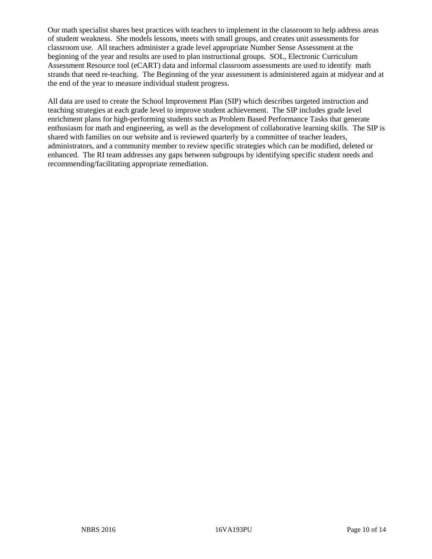Our math specialist shares best practices with teachers to implement in the classroom to help address areas of student weakness. She models lessons, meets with small groups, and creates unit assessments for classroom use. All teachers administer a grade level appropriate Number Sense Assessment at the beginning of the year and results are used to plan instructional groups. SOL, Electronic Curriculum Assessment Resource tool (eCART) data and informal classroom assessments are used to identify math strands that need re-teaching. The Beginning of the year assessment is administered again at midyear and at the end of the year to measure individual student progress.

All data are used to create the School Improvement Plan (SIP) which describes targeted instruction and teaching strategies at each grade level to improve student achievement. The SIP includes grade level enrichment plans for high-performing students such as Problem Based Performance Tasks that generate enthusiasm for math and engineering, as well as the development of collaborative learning skills. The SIP is shared with families on our website and is reviewed quarterly by a committee of teacher leaders, administrators, and a community member to review specific strategies which can be modified, deleted or enhanced. The RI team addresses any gaps between subgroups by identifying specific student needs and recommending/facilitating appropriate remediation.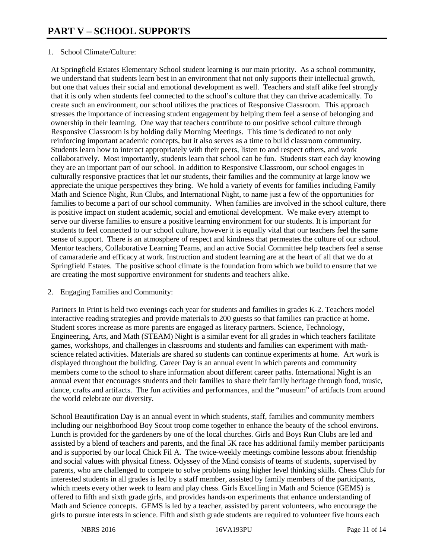#### 1. School Climate/Culture:

At Springfield Estates Elementary School student learning is our main priority. As a school community, we understand that students learn best in an environment that not only supports their intellectual growth, but one that values their social and emotional development as well. Teachers and staff alike feel strongly that it is only when students feel connected to the school's culture that they can thrive academically. To create such an environment, our school utilizes the practices of Responsive Classroom. This approach stresses the importance of increasing student engagement by helping them feel a sense of belonging and ownership in their learning. One way that teachers contribute to our positive school culture through Responsive Classroom is by holding daily Morning Meetings. This time is dedicated to not only reinforcing important academic concepts, but it also serves as a time to build classroom community. Students learn how to interact appropriately with their peers, listen to and respect others, and work collaboratively. Most importantly, students learn that school can be fun. Students start each day knowing they are an important part of our school. In addition to Responsive Classroom, our school engages in culturally responsive practices that let our students, their families and the community at large know we appreciate the unique perspectives they bring. We hold a variety of events for families including Family Math and Science Night, Run Clubs, and International Night, to name just a few of the opportunities for families to become a part of our school community. When families are involved in the school culture, there is positive impact on student academic, social and emotional development. We make every attempt to serve our diverse families to ensure a positive learning environment for our students. It is important for students to feel connected to our school culture, however it is equally vital that our teachers feel the same sense of support. There is an atmosphere of respect and kindness that permeates the culture of our school. Mentor teachers, Collaborative Learning Teams, and an active Social Committee help teachers feel a sense of camaraderie and efficacy at work. Instruction and student learning are at the heart of all that we do at Springfield Estates. The positive school climate is the foundation from which we build to ensure that we are creating the most supportive environment for students and teachers alike.

#### 2. Engaging Families and Community:

Partners In Print is held two evenings each year for students and families in grades K-2. Teachers model interactive reading strategies and provide materials to 200 guests so that families can practice at home. Student scores increase as more parents are engaged as literacy partners. Science, Technology, Engineering, Arts, and Math (STEAM) Night is a similar event for all grades in which teachers facilitate games, workshops, and challenges in classrooms and students and families can experiment with mathscience related activities. Materials are shared so students can continue experiments at home. Art work is displayed throughout the building. Career Day is an annual event in which parents and community members come to the school to share information about different career paths. International Night is an annual event that encourages students and their families to share their family heritage through food, music, dance, crafts and artifacts. The fun activities and performances, and the "museum" of artifacts from around the world celebrate our diversity.

School Beautification Day is an annual event in which students, staff, families and community members including our neighborhood Boy Scout troop come together to enhance the beauty of the school environs. Lunch is provided for the gardeners by one of the local churches. Girls and Boys Run Clubs are led and assisted by a blend of teachers and parents, and the final 5K race has additional family member participants and is supported by our local Chick Fil A. The twice-weekly meetings combine lessons about friendship and social values with physical fitness. Odyssey of the Mind consists of teams of students, supervised by parents, who are challenged to compete to solve problems using higher level thinking skills. Chess Club for interested students in all grades is led by a staff member, assisted by family members of the participants, which meets every other week to learn and play chess. Girls Excelling in Math and Science (GEMS) is offered to fifth and sixth grade girls, and provides hands-on experiments that enhance understanding of Math and Science concepts. GEMS is led by a teacher, assisted by parent volunteers, who encourage the girls to pursue interests in science. Fifth and sixth grade students are required to volunteer five hours each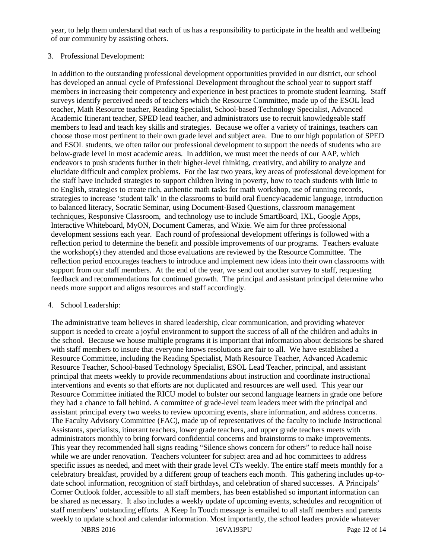year, to help them understand that each of us has a responsibility to participate in the health and wellbeing of our community by assisting others.

#### 3. Professional Development:

In addition to the outstanding professional development opportunities provided in our district, our school has developed an annual cycle of Professional Development throughout the school year to support staff members in increasing their competency and experience in best practices to promote student learning. Staff surveys identify perceived needs of teachers which the Resource Committee, made up of the ESOL lead teacher, Math Resource teacher, Reading Specialist, School-based Technology Specialist, Advanced Academic Itinerant teacher, SPED lead teacher, and administrators use to recruit knowledgeable staff members to lead and teach key skills and strategies. Because we offer a variety of trainings, teachers can choose those most pertinent to their own grade level and subject area. Due to our high population of SPED and ESOL students, we often tailor our professional development to support the needs of students who are below-grade level in most academic areas. In addition, we must meet the needs of our AAP, which endeavors to push students further in their higher-level thinking, creativity, and ability to analyze and elucidate difficult and complex problems. For the last two years, key areas of professional development for the staff have included strategies to support children living in poverty, how to teach students with little to no English, strategies to create rich, authentic math tasks for math workshop, use of running records, strategies to increase 'student talk' in the classrooms to build oral fluency/academic language, introduction to balanced literacy, Socratic Seminar, using Document-Based Questions, classroom management techniques, Responsive Classroom, and technology use to include SmartBoard, IXL, Google Apps, Interactive Whiteboard, MyON, Document Cameras, and Wixie. We aim for three professional development sessions each year. Each round of professional development offerings is followed with a reflection period to determine the benefit and possible improvements of our programs. Teachers evaluate the workshop(s) they attended and those evaluations are reviewed by the Resource Committee. The reflection period encourages teachers to introduce and implement new ideas into their own classrooms with support from our staff members. At the end of the year, we send out another survey to staff, requesting feedback and recommendations for continued growth. The principal and assistant principal determine who needs more support and aligns resources and staff accordingly.

#### 4. School Leadership:

The administrative team believes in shared leadership, clear communication, and providing whatever support is needed to create a joyful environment to support the success of all of the children and adults in the school. Because we house multiple programs it is important that information about decisions be shared with staff members to insure that everyone knows resolutions are fair to all. We have established a Resource Committee, including the Reading Specialist, Math Resource Teacher, Advanced Academic Resource Teacher, School-based Technology Specialist, ESOL Lead Teacher, principal, and assistant principal that meets weekly to provide recommendations about instruction and coordinate instructional interventions and events so that efforts are not duplicated and resources are well used. This year our Resource Committee initiated the RICU model to bolster our second language learners in grade one before they had a chance to fall behind. A committee of grade-level team leaders meet with the principal and assistant principal every two weeks to review upcoming events, share information, and address concerns. The Faculty Advisory Committee (FAC), made up of representatives of the faculty to include Instructional Assistants, specialists, itinerant teachers, lower grade teachers, and upper grade teachers meets with administrators monthly to bring forward confidential concerns and brainstorms to make improvements. This year they recommended hall signs reading "Silence shows concern for others" to reduce hall noise while we are under renovation. Teachers volunteer for subject area and ad hoc committees to address specific issues as needed, and meet with their grade level CTs weekly. The entire staff meets monthly for a celebratory breakfast, provided by a different group of teachers each month. This gathering includes up-todate school information, recognition of staff birthdays, and celebration of shared successes. A Principals' Corner Outlook folder, accessible to all staff members, has been established so important information can be shared as necessary. It also includes a weekly update of upcoming events, schedules and recognition of staff members' outstanding efforts. A Keep In Touch message is emailed to all staff members and parents weekly to update school and calendar information. Most importantly, the school leaders provide whatever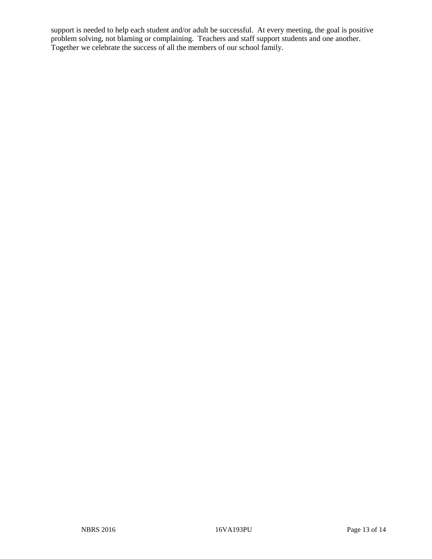support is needed to help each student and/or adult be successful. At every meeting, the goal is positive problem solving, not blaming or complaining. Teachers and staff support students and one another. Together we celebrate the success of all the members of our school family.